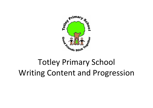

# Totley Primary School Writing Content and Progression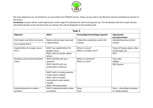

The main objectives are not limited to use only within the TOOLKIT lessons. These can be used as the Retrieve, Revisit and Rehearse section of the lesson.

**Vocabulary** sessions will be used to generate a wide range of vocabulary for each Learning Journey. The vocabulary will link to topic lessons and will be specific to the text that they are writing. This will be displayed on the working wall..

| Year 1                                      |                                                                                                                                                                                                 |                                           |                                                                  |
|---------------------------------------------|-------------------------------------------------------------------------------------------------------------------------------------------------------------------------------------------------|-------------------------------------------|------------------------------------------------------------------|
| Objective                                   | <b>WALT</b>                                                                                                                                                                                     | Knowledge/terminology required            | Appropriate<br>journey/context                                   |
| Form lower case letters correctly           | Name and use lower case and                                                                                                                                                                     | Follow the vocabulary used in the         | Handwriting lessons from                                         |
| Form capital letters                        | capital letters                                                                                                                                                                                 | scheme                                    | scheme                                                           |
| Capital letters for proper nouns<br>and 'I' | WALT use capital letters for<br>proper nouns<br>WALT edit to include capital<br>letters                                                                                                         | What is a noun?<br>What is a proper noun? | Recount People, places, days<br>of the week, etc.<br><b>EDIT</b> |
| Question marks and exclamation<br>marks     | WALT identify and use a<br>question<br>WALT identify and use<br>exclamation sentences<br>WALT edit to include question<br>marks where needed<br>WALT edit to include<br>exclamation marks where | What is a sentence?<br>What is a verb?    | Fairy tales<br>Riddles<br><b>EDIT lessons</b>                    |
| Combining words to make a<br>sentence       | needed<br>WALT edit punctuation<br>WALT understand what makes<br>a sentence                                                                                                                     | Noun<br>Verb                              | Story - describing characters<br>or simple setting               |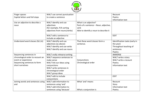

| Finger spaces<br>Capital letters and full stops                                                              | WALT use correct punctuation<br>to create a sentence                                                                                                        |                                                                                                                   | Recount<br>Poetry                                                                            |
|--------------------------------------------------------------------------------------------------------------|-------------------------------------------------------------------------------------------------------------------------------------------------------------|-------------------------------------------------------------------------------------------------------------------|----------------------------------------------------------------------------------------------|
|                                                                                                              |                                                                                                                                                             |                                                                                                                   | Information text                                                                             |
| Use an adjective to describe a<br>noun                                                                       | WALT identify and use<br>adjectives<br>(for example, P/A sorting<br>adjectives from nouns/verbs)                                                            | What is an adjective?<br>Parts of a sentence - Noun, adjective,<br>verb<br>Able to identify a noun to describe it |                                                                                              |
|                                                                                                              | WALT edit a sentence to<br>include an adjective                                                                                                             |                                                                                                                   | <b>EDIT</b>                                                                                  |
| Understand word classes (N,V,A)                                                                              | WALT identify and use<br>adjectives (as above)<br>WALT identify and use verbs<br>WALT identify and use nouns                                                | That these word classes form a<br>sentence.                                                                       | Identification tasks (early in<br>the year)<br>Throughout teaching of<br>sentences<br>Poetry |
| Sequencing sentences in                                                                                      | WALT orally rehearse writing                                                                                                                                |                                                                                                                   | <b>IMMERSE</b>                                                                               |
| chronological order to recount an<br>event or experience<br>Sequencing sentences to form<br>short narratives | WALT sequence sentences to<br>make sense<br>WALT link our ideas using<br>conjunctions<br>WALT write sentences in<br>chronological order<br>WALT group ideas | Conjunctions<br>Chronological order                                                                               | WALT write a story<br>WALT write a recount<br>Poetry<br>Information text                     |
|                                                                                                              | WALT edit to include<br>conjunctions                                                                                                                        |                                                                                                                   | <b>EDIT</b>                                                                                  |
| Joining words and sentences using<br>and                                                                     | WALT add information to<br>sentences using 'and'<br>WALT add information to<br>sentences using 'because'                                                    | What 'and' means<br>What a conjunction is                                                                         | Recount<br>Story<br>Information text<br>Poetry                                               |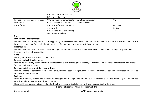

|                                  | WALT link our sentences using<br>different conjunctions |                     |                |
|----------------------------------|---------------------------------------------------------|---------------------|----------------|
| Re-read sentences to ensure they | WALT re-read our sentences to                           | What is a sentence? | Any            |
| make sense                       | make sure they make sense                               | Noun and verb       |                |
| Use suffixes                     | WALT use suffixes to form past                          |                     | Recounts       |
|                                  | tense words                                             |                     | <b>Stories</b> |
|                                  | WALT edit to make our writing                           |                     | EDIT           |
|                                  | past tense throughout                                   |                     |                |

#### **Plan writing – oral rehearsal**

This would be seen throughout the learning journey, especially within Immerse, and before Launch Point, PiP and Edit lessons. It would also be seen as embedded for the children to use this before writing any sentence within any lesson.

#### **Finger spaces**

This would be seen within the teaching of the objective **'**Combining words to make a sentence'. It would also be taught as part of 'Edit' lessons as well as in-lesson editing.

#### **Draft**

This is your PiP – Edit and Check come after this.

#### **Re-read to check it makes sense**

This will be seen every lesson. Teachers will model this explicitly throughout teaching. Children will re-read their sentences as part of their 'Acquire' and 'Apply 'lessons.

#### **Re aloud and discuss what they have written**

This would come as part of the 'Edit' lesson. It would also be seen throughout the 'Toolkit' as children will self and peer-assess. This will also be modelled by the teacher.

#### **Spellings**

Plural noun suffixes, suffixes and prefixes will be taught within the phonics scheme. -s or -es for plurals. Un- as a prefix -ing, -ed, -er and -est as suffixes where the root word doesn't change.

These will be reiterated and consolidated within the teaching of English. These will be a focus during the 'Edit' stage.

| Discrete objectives - these will become RRRs |                          |  |
|----------------------------------------------|--------------------------|--|
| Use un- as a prefix                          | WALT use un- as a prefix |  |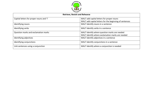

| <b>Retrieve, Revisit and Rehearse</b>    |                                                         |  |  |
|------------------------------------------|---------------------------------------------------------|--|--|
| Capital letters for proper nouns and 'I' | WALT add capital letters for proper nouns               |  |  |
|                                          | WALT add capital letters for the beginning of sentences |  |  |
| Identifying nouns                        | WALT identify nouns in a sentence                       |  |  |
| Identifying verbs                        | WALT identify verbs in a sentence                       |  |  |
| Question marks and exclamation marks     | WALT identify where question marks are needed           |  |  |
|                                          | WALT identify where exclamation marks are needed        |  |  |
| Identifying adjectives                   | WALT identify adjectives in a sentence                  |  |  |
| Identifying conjunctions                 | WALT identify conjunctions in a sentence                |  |  |
| Link sentences using a conjunction       | WALT identify where a conjunction is needed             |  |  |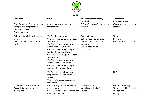

| Year 2                                                                                                        |                                                                                                                                                                                                                                                                                                                                                                                                                       |                                                                                                                                  |                                                                                |
|---------------------------------------------------------------------------------------------------------------|-----------------------------------------------------------------------------------------------------------------------------------------------------------------------------------------------------------------------------------------------------------------------------------------------------------------------------------------------------------------------------------------------------------------------|----------------------------------------------------------------------------------------------------------------------------------|--------------------------------------------------------------------------------|
| Objective                                                                                                     | <b>WALT</b>                                                                                                                                                                                                                                                                                                                                                                                                           | Knowledge/terminology<br>required                                                                                                | Appropriate<br>journey/context                                                 |
| Form lower case letters correctly,<br>using correct diagonal and<br>horizontal stokes<br>Form capital letters | Name and use lower case and<br>capital letters                                                                                                                                                                                                                                                                                                                                                                        | Follow the vocabulary used in the<br>scheme                                                                                      | Handwriting lessons from<br>scheme                                             |
| Subordination (when, if, that, or<br>because)<br>and coordination (or, and, so, or<br>but)                    | WALT understand what a clause is<br>WALT link ideas using coordinating<br>conjunctions<br>WALT link ideas using appropriate<br>coordinating conjunctions<br>WALT link ideas using a range of<br>coordinating conjunctions<br>WALT link ideas using subordinating<br>conjunctions<br>WALT link ideas using appropriate<br>subordinating conjunctions<br>WALT link ideas using a range of<br>subordinating conjunctions | Conjunctions<br>Subordinating conjunction<br>Coordinating conjunction<br>What a sentence is<br>Subordinate clause<br>Main clause | Story<br>Recount<br>Non-chronological report                                   |
|                                                                                                               | WALT edit to extend sentences<br>using subordinate and coordinate<br>clauses<br>WALT edit to use an appropriate<br>conjunction                                                                                                                                                                                                                                                                                        |                                                                                                                                  | <b>EDIT</b>                                                                    |
| Describing characters and settings<br>Expanded noun phrases for<br>description                                | WALT identify and use expanded<br>noun phrases<br>WALT add detail to our writing using<br>expanded noun phrases                                                                                                                                                                                                                                                                                                       | What is a noun?<br>What is an adjective?<br>Senses                                                                               | Descriptive writing<br>Story - describing characters<br>and settings<br>Poetry |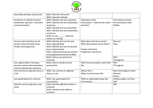

| Describing settings using senses | <b>WALT</b> describe characters<br>WALT describe settings |                                 |                            |
|----------------------------------|-----------------------------------------------------------|---------------------------------|----------------------------|
| Sentences to indicate function   |                                                           |                                 |                            |
|                                  | WALT identify and use a question                          | Imperative verbs                | Instructional writing      |
| (statement, question, command    | WALT identify and use exclamation                         | Punctuation - what do the marks | Re-writing fairy tales     |
| and exclamation)                 | sentences                                                 | look like?                      | Riddles                    |
|                                  | WALT identify and use commands                            |                                 |                            |
|                                  | WALT identify and use exclamation                         |                                 |                            |
|                                  | sentences                                                 |                                 |                            |
|                                  | WALT to use _______ sentence                              |                                 |                            |
|                                  | within our writing                                        |                                 |                            |
| Correct and consistent use of    | WALT identify and use the past                            | What does past tense mean?      | Recount                    |
| present tense and past tense     | tense appropriately                                       | What does present tense mean?   | Story                      |
| Simple and progressive           | WALT identify and use the present                         |                                 |                            |
|                                  | tense appropriately                                       | Simple verb forms               |                            |
|                                  | WALT understand how the present                           | Progressive verb forms          |                            |
|                                  | and progressive verb forms differ                         |                                 |                            |
|                                  | WALT edit to use verb forms                               |                                 | <b>EDIT</b>                |
|                                  | correctly                                                 |                                 | Throughout                 |
| Use capital letters, full stops, | WALT edit to include correct                              | What the punctuation marks look | <b>EDIT</b>                |
| question marks and exclamation   | punctuation                                               | like                            | Throughout                 |
| marks to demarcate sentences     |                                                           |                                 |                            |
| Use commas to separate items in  | WALT use commas to separate                               | What a list is                  | Non-chronological report   |
| a list                           | items in a list                                           | What a comma looks like         | Recount                    |
|                                  |                                                           |                                 | Poetry                     |
| Use apostrophes for omission     | WALT use apostrophes for                                  | What an apostrophe looks like   | Initially taught, and then |
|                                  | contractions                                              | Contractions                    | <b>EDIT</b>                |
| Identify and use adjectives and  | WALT identify adjectives within a                         |                                 | <b>RRR</b>                 |
| verbs                            | sentence                                                  |                                 |                            |
|                                  | WALT identify verbs within a                              |                                 |                            |
|                                  | sentence                                                  |                                 |                            |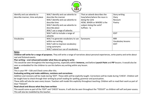

| Identify and use adverbs to<br>describe manner, time and place | WALT identify and use adverbs to<br>describe the manner<br>WALT identify and use adverbs to<br>describe time<br>WALT identify and use adverbs to<br>describe place<br>WALT use a range of adverbs<br>WALT edit to include a range of | That an adverb describes the<br>how/when/where the noun is<br>doing the verb<br>HOW, WHEN or WHERE is the<br>subject doing the verb?<br>Suffixes - ly | Story writing<br>Diary<br>Recount<br>Poetry<br><b>EDIT</b> |
|----------------------------------------------------------------|--------------------------------------------------------------------------------------------------------------------------------------------------------------------------------------------------------------------------------------|-------------------------------------------------------------------------------------------------------------------------------------------------------|------------------------------------------------------------|
| Vocabulary                                                     | adverbs<br>WALT to generate vocabulary to use<br>within our writing<br>WALT edit to improve vocabulary<br>using synonyms<br>WALT extend our use of vocabulary                                                                        | Synonyms                                                                                                                                              | <b>RRR</b><br><b>Vocabulary lessons</b><br>EDIT            |

**Children will write for a range of purposes.** They will write a range of narratives about personal experiences, write poetry and write about real and fictional events.

#### **Plan writing – oral rehearsal/consider what they are going to write**

This would be seen throughout the learning journey, especially within **Immerse,** and before **Launch Point** and **PiP** lessons. It would also be seen as embedded for the children to use this before any writing within any lesson.

#### **Draft**

This is your PiP – Edit and Check come after this.

#### **Evaluating writing and make additions, revisions and corrections**

Addition and revisions will be made during 'EDIT'. These skills will be explicitly taught. Corrections will be made during 'CHECK'. Children will be taught how to check through their writing by proof reading for spelling, grammar and punctuation.

These skills will also be seen every lesson. Teachers will model this explicitly throughout teaching. Children will re-read their work as part of their **'**TOOLKIT'.

#### **Read aloud and discuss what they have written**

This would come as part of the 'EDIT' and 'CHECK' lessons. It will also be seen throughout the 'TOOLKIT' as children will self and peer-assess. This will also be modelled by the teacher.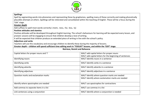

# **Spellings**

Spell by segmenting words into phonemes and representing these by graphemes, spelling many of these correctly and making phonetically plausible attempts at others. Spellings will be reiterated and consolidated within the teaching of English. These will be a focus during the 'Edit' stage.

## **Greater depth**

Add suffixes to spell most words correctly (-ment, -ness, -ful, -less, -ly)

## **Positive attitudes and stamina**

Positive attitudes will be developed throughout English learning. The school's behaviours for learning will be expected every lesson, and praised. Lessons will be engaging to ensure that children develop a love of writing.

It will be expected that children produce an extended piece of writing in line with the school's policy.

#### **Adjectives and verbs**

Teachers will use this vocabulary and encourage children to identify these during the majority of lessons.

#### **Greater depth – children will spend sufficient time editing work in 'TOOLKIT' lessons, and within the 'EDIT' stage.**

| <b>Retrieve, Revisit and Rehearse</b>    |                                                         |  |  |
|------------------------------------------|---------------------------------------------------------|--|--|
| Capital letters for proper nouns and 'I' | WALT add capital letters for proper nouns               |  |  |
|                                          | WALT add capital letters for the beginning of sentences |  |  |
| Identifying nouns                        | WALT identify nouns in a sentence                       |  |  |
| Identifying verbs                        | WALT identify verbs in a sentence                       |  |  |
| Identifying adverbs                      | WALT identify adverbs in a sentence                     |  |  |
| Identifying adjectives                   | WALT identify adjectives in a sentence                  |  |  |
| Question marks and exclamation marks     | WALT identify where question marks are needed           |  |  |
|                                          | WALT identify where exclamation marks are needed        |  |  |
| Identify where apostrophes are needed    | WALT use apostrophes for contractions                   |  |  |
| Add commas to separate items in a list   | WALT use commas in a list                               |  |  |
| Link sentences using a conjunction       | WALT identify where a conjunction is needed             |  |  |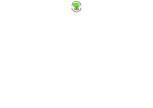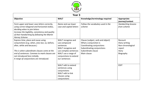

| Year <sub>3</sub>                                                                                                                                                                                                                                                                                |                                                                                                                                                                  |                                                                                                                                                            |                                                                               |
|--------------------------------------------------------------------------------------------------------------------------------------------------------------------------------------------------------------------------------------------------------------------------------------------------|------------------------------------------------------------------------------------------------------------------------------------------------------------------|------------------------------------------------------------------------------------------------------------------------------------------------------------|-------------------------------------------------------------------------------|
| Objective                                                                                                                                                                                                                                                                                        | <b>WALT</b>                                                                                                                                                      | Knowledge/terminology required                                                                                                                             | Appropriate<br>journey/context                                                |
| Form upper and lower case letters correctly,<br>using correct diagonal and horizontal stokes,<br>deciding when to join letters<br>Increase the legibility, consistency and quality<br>of their handwriting by following the Martin<br><b>Harvey Scheme</b>                                       | Name and use lower<br>case and capital letters                                                                                                                   | Follow the vocabulary used in the<br>scheme                                                                                                                | <b>Handwriting lessons</b><br>from scheme                                     |
| Express time, place and cause using<br>conjunctions (e.g. when, and, but, so, before,<br>after, while and because.)<br>This is when subordinate clauses come at the<br>end of sentences. Commas to mark clauses are<br>not introduced here initially.<br>A range of conjunctions are introduced. | WALT recognise and<br>use compound<br>sentences<br>WALT recognise and<br>use complex sentences<br>WALT use a range of<br>conjunctions to extend<br>our sentences | Clause (subject, verb and object)<br>What a conjunction is<br>Coordinating conjunctions<br>Subordinating conjunctions<br>Subordinate clause<br>Main clause | Recount<br>Diary writing<br>Non-chronological<br>report<br>Story<br>Biography |
|                                                                                                                                                                                                                                                                                                  | WALT edit to extend<br>sentences using<br>conjunctions<br>WALT edit to link<br>clauses using<br>conjunctions                                                     |                                                                                                                                                            | <b>EDIT</b>                                                                   |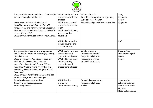

| Use adverbials (words and phrases) to describe<br>time, manner, place and reason<br>These will include the introduction of<br>adverbials as an umbrella term. This will<br>include words and phrases, but not clauses yet.<br>Children need to understand that an 'adverb' is<br>a type of 'adverbial'.<br>These are not introduced as fronted adverbials.                                                                                                       | WALT identify and use<br>adverbials (words and<br>phrases)<br>WALT use a range of<br>adverbials to describe<br><b>TRaMP</b><br>WALT add detail to my<br>sentences using<br>adverbials | What a phrase is<br>Adverbials (being words and phrases)<br>Suffixes (-ly for manner)<br>Prepositional phrases being adverbials | Story<br>Recounts<br>Poetry<br>Biography                                                             |
|------------------------------------------------------------------------------------------------------------------------------------------------------------------------------------------------------------------------------------------------------------------------------------------------------------------------------------------------------------------------------------------------------------------------------------------------------------------|---------------------------------------------------------------------------------------------------------------------------------------------------------------------------------------|---------------------------------------------------------------------------------------------------------------------------------|------------------------------------------------------------------------------------------------------|
|                                                                                                                                                                                                                                                                                                                                                                                                                                                                  | WALT edit my work to<br>include adverbials to<br>describe TRaMP                                                                                                                       |                                                                                                                                 | <b>EDIT</b>                                                                                          |
| Use prepositions (e.g. before, after, during,<br>and in) and prepositional phrases (e.g. on top<br>of and after that)<br>These are introduced as a type of adverbial.<br>Children should know that there are<br>prepositional words and phrases. Children<br>need to understand that a prepositional is<br>describing where or when; therefore, it is an<br>'adverbial'.<br>These are added within the sentence and not<br>introduced as fronted adverbials yet. | WALT identify and use<br>prepositions and<br>prepositional phrases<br>WALT add detail to our<br>sentences using<br>prepositions and<br>prepositional phrases                          | What a phrase is<br>Prepositions (words)<br>Prepositional phrase<br>Prepositions of time<br>Prepositions of place               | <b>Story writing</b><br>Non-chronological<br>report<br>Poetry                                        |
| Describe characters and settings<br>Describing settings using senses<br>Introducing similes                                                                                                                                                                                                                                                                                                                                                                      | <b>WALT</b> describe<br>characters<br>WALT describe settings                                                                                                                          | Expanded noun phrases<br>Prepositional phrases<br>Similes                                                                       | Story writing<br>Adventure stories<br>Stories from other<br>cultures<br><b>Historical narratives</b> |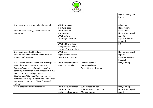

|                                                |                                   |                             | Myths and legends<br>Poetry |
|------------------------------------------------|-----------------------------------|-----------------------------|-----------------------------|
| Use paragraphs to group related material       | WALT group and<br>structure ideas |                             | All writing<br>News reports |
| Children need to use // to edit to include     | WALT write an                     |                             | Instructions                |
| paragraphs                                     | introduction                      |                             | Non-chronological           |
|                                                | WALT write a                      |                             | reports                     |
|                                                | summary/conclusion                |                             | <b>Explanation texts</b>    |
|                                                |                                   |                             | Biography                   |
|                                                | WALT edit to include              |                             | <b>EDIT</b>                 |
|                                                | paragraphs to show a              |                             |                             |
|                                                | change of time or place           |                             |                             |
| Use headings and subheadings                   | <b>WALT</b> use                   |                             | Non-chronological           |
| Children should understand the purpose of      | organisational devices            |                             | reports                     |
| these to aid the reader.                       | to structure our writing          |                             | <b>Explanation texts</b>    |
|                                                |                                   |                             | Biography                   |
| Use inverted commas to indicate direct speech  | WALT punctuate direct             | Inverted commas             | Story writing               |
| when the speech starts the sentence            | speech accurately                 | Reporting clause            |                             |
| Punctuation of speech including inverted       |                                   | Present tense within speech |                             |
| commas, punctuation within the speech marks    |                                   |                             |                             |
| and capital letter to begin speech.            |                                   |                             |                             |
| Children should be taught to continue the      |                                   |                             |                             |
| sentence with a reporting clause and this does |                                   |                             |                             |
| not need a capital letter ("Help!" shouted     |                                   |                             |                             |
| Adam.)                                         |                                   |                             |                             |
| Use subordinate fronted sentences              | WALT use subordinate              | Subordinate clauses         | Story writing               |
|                                                | clauses at the                    | Subordinating conjunctions  | Non-chronological           |
|                                                | beginning of sentences            | Marking clauses             | report                      |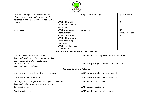

| Children are taught that the subordinate                 |                                              | Subject, verb and object                         | <b>Explanation texts</b>  |
|----------------------------------------------------------|----------------------------------------------|--------------------------------------------------|---------------------------|
| clause can be moved to the beginning of the              |                                              |                                                  |                           |
| sentence. A comma is then needed to mark the             |                                              |                                                  |                           |
| clauses.                                                 | WALT edit to use                             |                                                  | <b>EDIT</b>               |
|                                                          | subordinate fronted                          |                                                  |                           |
|                                                          | sentences                                    |                                                  |                           |
| Vocabulary                                               | WALT to generate                             | Synonyms                                         | <b>RRR</b>                |
|                                                          | vocabulary to use                            |                                                  | <b>Vocabulary lessons</b> |
|                                                          | within our writing                           |                                                  | <b>EDIT</b>               |
|                                                          | WALT edit to improve                         |                                                  |                           |
|                                                          | vocabulary using                             |                                                  |                           |
|                                                          | synonyms                                     |                                                  |                           |
|                                                          | WALT extend our use                          |                                                  |                           |
|                                                          | of vocabulary                                |                                                  |                           |
|                                                          | Discrete objectives - these will become RRRs |                                                  |                           |
| Use the present perfect verb forms                       |                                              | WALT identify and use present perfect verb forms |                           |
| Tom has baked a cake. This is present perfect.           |                                              |                                                  |                           |
| Tom baked a cake. This is past simple.                   |                                              |                                                  |                           |
| Plural possession                                        |                                              | WALT use apostrophes to show plural possession   |                           |
| The boys' toilets are flooded.                           |                                              |                                                  |                           |
|                                                          | <b>Retrieve, Revisit and Rehearse</b>        |                                                  |                           |
| Use apostrophes to indicate singular possession          |                                              | WALT use apostrophes to show possession          |                           |
| Use apostrophes for omission                             |                                              | WALT use apostrophes to show omission            |                           |
| Identify word classes (verb, adverb, adjective and noun) |                                              | WALT identify word classes                       |                           |
| This needs to be within the context of a sentence        |                                              |                                                  |                           |
| Commas in a list                                         |                                              | WALT use commas in a list                        |                           |
| Functions of a sentence                                  |                                              | WALT identify functions of a sentence            |                           |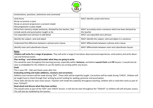

| Exclamations, questions, statements and commands                  |                                                             |
|-------------------------------------------------------------------|-------------------------------------------------------------|
| Verb forms                                                        | WALT identify varied verb forms                             |
| Recap on present vs past                                          |                                                             |
| Recap on present progressive vs present simple                    |                                                             |
| Past progressive vs past simple                                   |                                                             |
| Write from memory simple sentences, dictated by the teacher, that | WALT accurately write a sentence which has been dictated by |
| include words and punctuation taught so far.                      | the teacher                                                 |
| Use expanded noun phrases to add detail                           | WALT use expanded noun phrases                              |
| Identify the subject, verb and object                             | WALT identify the subject, verb and object in a sentence    |
| Understand the difference between a phrase and a clause           | WALT differentiate between a phrase and a clause            |
| Identify main and subordinate clauses                             | WALT differentiate between main and subordinate clauses     |

**Children will write for a range of purposes.** They will write a range of narratives about personal experiences, write poetry and write about real and fictional events.

#### **Plan writing – oral rehearsal/consider what they are going to write**

This would be seen throughout the learning journey, especially within **Immerse,** and before **Launch Point** and **PiP** lessons. It would also be seen as embedded for the children to use this before any writing within any lesson.

#### **Draft**

This is your PiP – Edit and Check come after this.

#### **Evaluating writing and make additions, revisions and corrections**

Addition and revisions will be made during 'EDIT'. These skills will be explicitly taught. Corrections will be made during 'CHECK'. Children will be taught how to check through their writing by proof reading for spelling, grammar and punctuation.

These skills will also be seen every lesson. Teachers will model this explicitly throughout teaching. Children will re-read their work as part of their **'**TOOLKIT'.

#### **Read aloud and discuss what they have written**

This would come as part of the 'EDIT' and 'CHECK' lessons. It will also be seen throughout the 'TOOLKIT' as children will self and peer-assess. This will also be modelled by the teacher.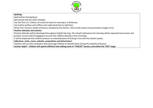

# **Spellings**

Spell further homophones.

Spell words that are often misspelt.

Use the first 2 or 3 letters of a word to check its meaning in a dictionary.

Use further prefixes and suffixes and understand how to add them.

Write from memory simple sentences, dictated by the teacher, that include words and punctuation taught so far.

## **Positive attitudes and stamina**

Positive attitudes will be developed throughout English learning. The school's behaviours for learning will be expected every lesson and praised. Lessons will be engaging to ensure that children develop a love of writing.

It will be expected that children produce an extended piece of writing in line with the school's policy.

## **Adjectives, verbs, nouns, adverbs, prepositions and determiners**

Teachers will use this vocabulary and encourage children to identify these during the majority of lessons.

**Greater depth – children will spend sufficient time editing work in 'TOOLKIT' lessons, and within the 'EDIT' stage.**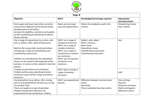

| Year 4                                                                                                                                                                                                                                                                                                                                                                       |                                                                                                                                                                                                                     |                                                                                                                                         |                                                                                                    |
|------------------------------------------------------------------------------------------------------------------------------------------------------------------------------------------------------------------------------------------------------------------------------------------------------------------------------------------------------------------------------|---------------------------------------------------------------------------------------------------------------------------------------------------------------------------------------------------------------------|-----------------------------------------------------------------------------------------------------------------------------------------|----------------------------------------------------------------------------------------------------|
| Objective                                                                                                                                                                                                                                                                                                                                                                    | <b>WALT</b>                                                                                                                                                                                                         | Knowledge/terminology required                                                                                                          | Appropriate<br>journey/context                                                                     |
| Form upper and lower case letters correctly,<br>using correct diagonal and horizontal stokes,<br>deciding when to join letters<br>Increase the legibility, consistency and quality<br>of their handwriting by following the Martin<br><b>Harvey Scheme</b>                                                                                                                   | Name and use lower<br>case and capital letters                                                                                                                                                                      | Follow the vocabulary used in the<br>scheme                                                                                             | <b>Handwriting lessons</b><br>from scheme                                                          |
| Use a range of conjunctions (e.g. when, and,<br>but, so, before, after, while and because.)<br>Build on the conjunctions mentioned above,<br>introducing a range of subordinating and<br>coordinating conjunctions.<br>Children are reminded that the subordinate<br>clause can be moved to the beginning of the<br>sentence. A comma is then needed to mark the<br>clauses. | WALT use a range of<br>compound sentences<br>WALT use a range of<br>complex sentences<br>WALT use a range of<br>conjunctions to extend<br>our sentences<br>WALT vary the position<br>of clauses in our<br>sentences | Subject, verb, object<br>What a clause is<br>Main clause<br>Subordinate clause<br>Subordinating conjunction<br>Coordinating conjunction | Any                                                                                                |
| A range of conjunctions are introduced.<br>Children will be using subordinate fronted<br>sentences as part of their range of sentence<br>structures.                                                                                                                                                                                                                         | WALT edit to include a<br>range of sentence<br>structures                                                                                                                                                           |                                                                                                                                         | <b>EDIT</b>                                                                                        |
| Use prepositions (e.g. before, after, during,<br>and in) and prepositional phrases (e.g. on top<br>of and after that)<br>These are taught as a type of adverbial.<br>Children should know that there are<br>prepositional words and phrases. Children                                                                                                                        | WALT use prepositional<br>phrases                                                                                                                                                                                   | Difference between a phrase and a<br>clause<br>Adverbials<br>That an adverbial describes where                                          | Story writing<br>Recount<br><b>Historical narratives</b><br>Myths and legends<br>Adventure stories |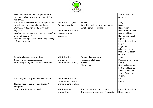

| need to understand that a prepositional is<br>describing where or when; therefore, it is an<br>'adverbial'.                                                                                                                                                                                              |                                                                                                              |                                                                                      | Stories from other<br>cultures                                                                                                                                                                                           |
|----------------------------------------------------------------------------------------------------------------------------------------------------------------------------------------------------------------------------------------------------------------------------------------------------------|--------------------------------------------------------------------------------------------------------------|--------------------------------------------------------------------------------------|--------------------------------------------------------------------------------------------------------------------------------------------------------------------------------------------------------------------------|
| Use fronted adverbials (words and phrases) to<br>describe time, manner, place and reason<br>This needs to build on the Y3 'adverbial'<br>objective.<br>Children need to understand that an 'adverb' is<br>a type of 'adverbial'.<br>Children are taught to use a comma following<br>a fronted adverbial. | WALT use a range of<br>fronted adverbials<br>WALT edit to include a<br>range of fronted<br>adverbials        | <b>TRaMP</b><br>Adverbials include words and phrases<br>What a comma looks like      | Story<br>Diary<br>News report<br><b>Historical narratives</b><br>Myths and legends<br>Non-chronological<br>report<br>Instructional writing<br>Poetry<br>Biography<br>Adventure stories<br>Stories from other<br>cultures |
| Describe characters and settings<br>Describing settings using senses<br>Introducing metaphors and personification<br>Use paragraphs to group related material                                                                                                                                            | <b>WALT</b> describe<br>characters<br>WALT describe settings<br>WALT edit to include<br>paragraphs to show a | Expanded noun phrases<br>Prepositional phrases<br><b>Similes</b><br><b>Metaphors</b> | Story<br>Descriptive narratives<br>Poetry<br><b>Historical narratives</b><br>Myths and legends<br>Adventure stories<br>Stories from other<br>cultures<br><b>EDIT</b><br>Poetry                                           |
| Children need to use // to edit to include<br>paragraphs                                                                                                                                                                                                                                                 | change of time or place                                                                                      |                                                                                      |                                                                                                                                                                                                                          |
| Structure writing appropriately                                                                                                                                                                                                                                                                          | WALT write an<br>introduction                                                                                | The purpose of an introduction<br>The purpose of a summary/conclusion                | Instructional writing<br>News reports                                                                                                                                                                                    |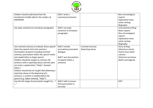

| Children should understand that the<br>introduction briefly informs the readers of<br><b>WWWWW</b>                                                                                                                                                                                                                                                                                                                                                                                                                                                          | WALT write a<br>summary/conclusion                                                                                   |                                     | Non-chronological<br>reports<br><b>Explanation texts</b>                                                                         |
|-------------------------------------------------------------------------------------------------------------------------------------------------------------------------------------------------------------------------------------------------------------------------------------------------------------------------------------------------------------------------------------------------------------------------------------------------------------------------------------------------------------------------------------------------------------|----------------------------------------------------------------------------------------------------------------------|-------------------------------------|----------------------------------------------------------------------------------------------------------------------------------|
|                                                                                                                                                                                                                                                                                                                                                                                                                                                                                                                                                             |                                                                                                                      |                                     | Letter writing<br>Biography                                                                                                      |
| Use topic sentences to introduce paragraphs                                                                                                                                                                                                                                                                                                                                                                                                                                                                                                                 | WALT use topic<br>sentence to introduce<br>paragraphs                                                                |                                     | Instructional writing<br>News reports<br>Non-chronological<br>reports<br><b>Explanation texts</b><br>Letter writing<br>Biography |
| Use inverted commas to indicate direct speech<br>when the speech starts the sentence<br>Punctuation of speech including inverted<br>commas, punctuation within the speech marks<br>and capital letter to begin speech.<br>Children should be taught to continue the<br>sentence with a reporting clause and this does<br>not need a capital letter ("Help!" shouted<br>Adam.)<br>Children should also be taught that following a<br>reporting clause at the beginning of a<br>sentence, a comma is needed before the<br>speech (e.g. Adam shouted, "Help!") | <b>WALT</b> include<br>accurately punctuated<br>dialogue<br>WALT vary the position<br>of speech within a<br>sentence | Inverted commas<br>Reporting clause | <b>Story writing</b><br>Adventure stories<br>Stories from other<br>cultures<br><b>Historical narratives</b><br>Myths and legends |
| Use the full range of punctuation taught CLs.?<br>!, "                                                                                                                                                                                                                                                                                                                                                                                                                                                                                                      | WALT edit to ensure<br>that punctuation is<br>accurate                                                               |                                     | <b>EDIT</b>                                                                                                                      |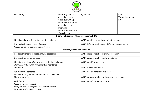

| Vocabulary                                               | WALT to generate                             | Synonyms                                            | <b>RRR</b>                |
|----------------------------------------------------------|----------------------------------------------|-----------------------------------------------------|---------------------------|
|                                                          | vocabulary to use                            |                                                     | <b>Vocabulary lessons</b> |
|                                                          | within our writing                           |                                                     | <b>EDIT</b>               |
|                                                          | WALT edit to improve                         |                                                     |                           |
|                                                          | vocabulary using                             |                                                     |                           |
|                                                          | synonyms                                     |                                                     |                           |
|                                                          | WALT extend our use                          |                                                     |                           |
|                                                          | of vocabulary                                |                                                     |                           |
|                                                          | Discrete objectives - these will become RRRs |                                                     |                           |
| Identify and use different types of determiners          |                                              | WALT identify and use types of determiners          |                           |
|                                                          |                                              |                                                     |                           |
| Distinguish between types of nouns                       |                                              | WALT differentiate between different types of nouns |                           |
| Proper, common, abstract and collective                  |                                              |                                                     |                           |
|                                                          | <b>Retrieve, Revisit and Rehearse</b>        |                                                     |                           |
| Use apostrophes to indicate singular possession          |                                              | WALT use apostrophes to show possession             |                           |
| Use apostrophes for omission                             |                                              | WALT use apostrophes to show omission               |                           |
| Identify word classes (verb, adverb, adjective and noun) |                                              | WALT identify word classes                          |                           |
| This needs to be within the context of a sentence        |                                              |                                                     |                           |
| Commas in a list                                         |                                              | WALT use commas in a list                           |                           |
| Functions of a sentence                                  |                                              | WALT identify functions of a sentence               |                           |
| Exclamations, questions, statements and commands         |                                              |                                                     |                           |
| Plural possession                                        |                                              | WALT use apostrophes to show plural possession      |                           |
| Verb forms                                               |                                              | WALT identify varied verb forms                     |                           |
| Recap on present vs past                                 |                                              |                                                     |                           |
| Recap on present progressive vs present simple           |                                              |                                                     |                           |
| Past progressive vs past simple                          |                                              |                                                     |                           |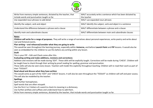

| Write from memory simple sentences, dictated by the teacher, that | WALT accurately write a sentence which has been dictated by |
|-------------------------------------------------------------------|-------------------------------------------------------------|
| include words and punctuation taught so far.                      | the teacher                                                 |
| Use expanded noun phrases to add detail                           | WALT use expanded noun phrases                              |
| Identify the subject, verb and object                             | WALT identify the subject, verb and object in a sentence    |
| Understand the difference between a phrase and a clause           | WALT differentiate between a phrase and a clause            |
| Identify main and subordinate clauses                             | WALT differentiate between main and subordinate clauses     |

**Children will write for a range of purposes.** They will write a range of narratives about personal experiences, write poetry and write about real and fictional events.

#### **Plan writing – oral rehearsal/consider what they are going to write**

This would be seen throughout the learning journey, especially within **Immerse,** and before **Launch Point** and **PiP** lessons. It would also be seen as embedded for the children to use this before any writing within any lesson.

#### **Draft**

This is your PiP – Edit and Check come after this.

#### **Evaluating writing and make additions, revisions and corrections**

Addition and revisions will be made during 'EDIT'. These skills will be explicitly taught. Corrections will be made during 'CHECK'. Children will be taught how to check through their writing by proof reading for spelling, grammar and punctuation.

These skills will also be seen every lesson. Teachers will model this explicitly throughout teaching. Children will re-read their work as part of their **'**TOOLKIT'.

#### **Read aloud and discuss what they have written**

This would come as part of the 'EDIT' and 'CHECK' lessons. It will also be seen throughout the 'TOOLKIT' as children will self and peer-assess. This will also be modelled by the teacher.

## **Spellings**

Spell further homophones.

Spell words that are often misspelt.

Use the first 2 or 3 letters of a word to check its meaning in a dictionary.

Use further prefixes and suffixes and understand how to add them.

Write from memory simple sentences, dictated by the teacher, that include words and punctuation taught so far.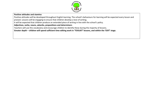

## **Positive attitudes and stamina**

Positive attitudes will be developed throughout English learning. The school's behaviours for learning will be expected every lesson and praised. Lessons will be engaging to ensure that children develop a love of writing.

It will be expected that children produce an extended piece of writing in line with the school's policy.

**Adjectives, verbs, nouns, adverbs, prepositions and determiners**

Teachers will use this vocabulary and encourage children to identify these during the majority of lessons.

**Greater depth – children will spend sufficient time editing work in 'TOOLKIT' lessons, and within the 'EDIT' stage.**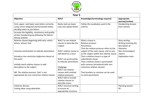

| Year 5                                                                                                                          |                                                            |                                                                                                   |                                                                              |
|---------------------------------------------------------------------------------------------------------------------------------|------------------------------------------------------------|---------------------------------------------------------------------------------------------------|------------------------------------------------------------------------------|
| Objective                                                                                                                       | <b>WALT</b>                                                | Knowledge/terminology required                                                                    | Appropriate<br>journey/context                                               |
| Form upper- and lower-case letters correctly,<br>using correct diagonal and horizontal stokes,<br>deciding when to join letters | Name and use lower<br>case and capital letters             | Follow the vocabulary used in the<br>scheme                                                       | <b>Handwriting lessons</b><br>from scheme                                    |
| Increase the legibility, consistency and quality<br>of their handwriting by following the Martin<br><b>Harvey Scheme</b>        |                                                            |                                                                                                   |                                                                              |
| Relative clauses beginning with who, which,<br>where, whose, that                                                               | WALT to use relative<br>clauses to describe the<br>subject | What a clause is<br>Relative pronoun<br>Parenthesis<br>That the relative pronoun refers to the    | <b>Story writing</b><br>Writing involving the<br>description of<br>character |
| Commas and brackets to indicate parenthesis                                                                                     | WALT relative clause to<br>add detail to a noun            | subject of the main clause, and so acts<br>as the subject within this relative clause             | Non-chronological<br>reports                                                 |
| Introduce non-restrictive (adjective clause) at<br>this point                                                                   | WALT use punctuation<br>to indicate parenthesis            | That a relative clause is a type of<br>subordinate clause<br>That a relative clause is punctuated | <b>Explanation texts</b>                                                     |
| Initially teach relative clauses to add                                                                                         |                                                            | with commas (introduced with non-                                                                 |                                                                              |
| description to the subject                                                                                                      | Challenge<br><b>WALT</b> use relative                      | restrictive relative clauses)                                                                     |                                                                              |
| NB. The relative pronoun 'that' is not                                                                                          | clauses with omitted                                       | That brackets or commas can be used                                                               |                                                                              |
| appropriate for non-restrictive relative clauses                                                                                | relative pronouns                                          | to mark parenthesis                                                                               |                                                                              |
|                                                                                                                                 | WALT edit to include                                       |                                                                                                   | <b>EDIT</b>                                                                  |
|                                                                                                                                 | relative clauses to                                        |                                                                                                   |                                                                              |
|                                                                                                                                 | describe nouns                                             |                                                                                                   |                                                                              |
| Cohesive devices                                                                                                                | <b>WALT structure writing</b>                              |                                                                                                   | Planning session                                                             |
| Linking ideas using adverbials                                                                                                  | to ensure an                                               |                                                                                                   | All                                                                          |
|                                                                                                                                 | appropriate structure                                      |                                                                                                   |                                                                              |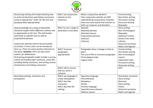

| Structuring writing will include teaching how     | WALT use conjunctive     | What a conjunctive adverb it           | Formal writing               |
|---------------------------------------------------|--------------------------|----------------------------------------|------------------------------|
| to write introductions and linking conclusions,   | adverbs to link          | That conjunctive adverbs are NOT       | Non-fiction writing          |
| using an appropriate 'order' for the text and     | sentences                | subordinating conjunctions; however,   | Persuasive writing           |
| grouping ideas appropriately                      |                          | there are some words that function as  | Discursive writing           |
|                                                   |                          | both e.g. however and therefore        | Biography                    |
| Deep knowledge of a range of adverbials           | WALT to use a range of   | Adverbs                                | <b>Story writing</b>         |
| should be taught within different contexts and    | adverbials to link ideas | Adverbial phrases                      | Non-chronological            |
| as appropriate to the text. This will include     |                          | Adverbial clauses                      | Biography                    |
| adverbials to indicate time as well as            |                          | Prepositional phrases                  | Adventure stories            |
| prepositional phrases.                            |                          | Cohesion                               | Stories from other           |
|                                                   |                          | Cohesive                               | cultures                     |
| Conjunctive adverbs need to be punctuated         |                          |                                        | <b>Historical narratives</b> |
| accurately. A semi colon can be introduced        |                          |                                        | Myths and legends            |
| here e.g. There are many positive elements to     | <b>WALT structure</b>    | Paragraphs show a change in time or    | Formal writing               |
| this piece; however, there are also some          | paragraphs               | place                                  | Non-fiction writing          |
| matters for deliberation.                         | appropriately            | The use of PEE to structure paragraphs | Non-chronological            |
| Structuring paragraphs might include a success    |                          | Chronological order                    | reports                      |
| criteria of including topic sentences, using PEE, |                          | Logical order                          | <b>Explanation texts</b>     |
| including linking sentences, and writing concise  |                          |                                        | Persuasive writing           |
| introductions and linking summaries.              |                          |                                        | Discursive writing           |
|                                                   | WALT edit to ensure      |                                        | <b>EDIT</b>                  |
|                                                   | that our work is         |                                        |                              |
|                                                   | cohesive                 |                                        |                              |
| Describing settings, characters and               | WALT use language to     | Figurative language                    | Descriptive narratives       |
| atmosphere                                        | create atmosphere        | Personification                        | <b>Story writing</b>         |
|                                                   | <b>WALT</b> describe     | Metaphors                              | Recounts                     |
|                                                   | characters               | <b>Similes</b>                         | Diary writing                |
|                                                   | WALT describe the        | Emotive language                       | Poetry                       |
|                                                   | settings                 | Expanded noun phrases                  | <b>Historical narratives</b> |
|                                                   |                          | Relative clauses                       | Myths and legends            |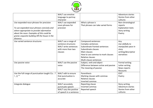

| Use expanded noun phrases for precision<br>To use expanded noun phrases concisely and<br>where appropriate to provide information<br>about the noun. Examples of this could be | WALT use emotive<br>language to portray<br>character<br>WALT use expanded<br>noun phrases for<br>precision | What a phrase is<br>That phrases can take varied forms                                                                                                                                             | Adventure stories<br>Stories from other<br>cultures<br>Non-chronological<br>reports<br><b>Explanation texts</b><br><b>Story writing</b><br>Poetry |
|--------------------------------------------------------------------------------------------------------------------------------------------------------------------------------|------------------------------------------------------------------------------------------------------------|----------------------------------------------------------------------------------------------------------------------------------------------------------------------------------------------------|---------------------------------------------------------------------------------------------------------------------------------------------------|
| grand, exquisite building OR the house in the<br>distance.                                                                                                                     |                                                                                                            |                                                                                                                                                                                                    |                                                                                                                                                   |
| Use varied sentence structures                                                                                                                                                 | WALT use a range of<br>sentence structures<br><b>WALT</b> write sentences<br>with more than two<br>clauses | Compound sentences<br>Complex sentences<br>Subordinate fronted sentences<br>Subordinate clauses<br>Main clauses<br>How to use commas to mark clauses<br>Relative clauses<br>Multi-clause sentences | Any<br>Use skilfully to<br>manipulate pace in<br>story<br>writing/descriptive<br>narratives                                                       |
| Use passive voice                                                                                                                                                              | WALT use the passive<br>voice                                                                              | Subject, verb and object<br>Difference between active and passive<br>The meaning of passive                                                                                                        | Formal writing<br>Letter writing<br>News reports<br>Recounts                                                                                      |
| Use the full range of punctuation taught CLs. ?<br>$!, ()$ ""                                                                                                                  | WALT edit to ensure<br>that punctuation is<br>accurate                                                     | Parenthesis<br>Marking clauses with commas<br>Relative clauses<br>Inverted commas                                                                                                                  | <b>EDIT</b><br>Poetry                                                                                                                             |
| Integrate dialogue                                                                                                                                                             | <b>WALT</b> accurately<br>punctuate speech<br>WALT vary the positive<br>of speech in a sentence            | Reporting clause<br>Inverted commas<br>Reported speech                                                                                                                                             | <b>Story writing</b><br>Adventure stories<br>Stories from other<br>cultures                                                                       |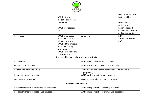

|                                                 |                              |                                                           | <b>Historical narratives</b> |
|-------------------------------------------------|------------------------------|-----------------------------------------------------------|------------------------------|
|                                                 | <b>WALT</b> integrate        |                                                           | Myths and legends            |
|                                                 | dialogue to advance          |                                                           |                              |
|                                                 | the action                   |                                                           | News reports                 |
|                                                 |                              |                                                           | (witnesses)                  |
|                                                 | WALT use reported            |                                                           | Reported speech -            |
|                                                 | speech                       |                                                           | diary writing, recounts      |
|                                                 |                              |                                                           | and news reports             |
| Vocabulary                                      | WALT to generate             | Synonyms                                                  | <b>RRR</b>                   |
|                                                 | vocabulary to use            |                                                           | <b>Vocabulary lessons</b>    |
|                                                 | within our writing           |                                                           | <b>EDIT</b>                  |
|                                                 | WALT edit to improve         |                                                           |                              |
|                                                 | vocabulary using             |                                                           |                              |
|                                                 | synonyms                     |                                                           |                              |
|                                                 | WALT extend our use          |                                                           |                              |
|                                                 | of vocabulary                |                                                           |                              |
| Discrete objectives - these will become RRRs    |                              |                                                           |                              |
| Modal verbs                                     |                              | WALT use modal verbs appropriately                        |                              |
| Adverbials for probability                      |                              | WALT use adverbials to indicate probability               |                              |
| Definite and indefinite article                 |                              | WALT identify and use the definite and indefinite article |                              |
|                                                 |                              | appropriately                                             |                              |
| Hyphens to avoid ambiguity                      |                              | WALT use hyphens to avoid ambiguity                       |                              |
| Punctuate bullet points                         |                              | WALT punctuate bullet points consistently                 |                              |
|                                                 | <b>Retrieve and Rehearse</b> |                                                           |                              |
| Use apostrophes to indicate singular possession |                              | WALT use apostrophes to show possession                   |                              |
| Use apostrophes to indicate plural possession   |                              | WALT use apostrophes to show plural possession            |                              |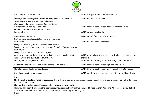

| Use apostrophes for omission                                           | WALT use apostrophes to show omission                       |
|------------------------------------------------------------------------|-------------------------------------------------------------|
| Identify word classes (verbs, pronouns, conjunctions, prepositions,    | WALT identify word classes                                  |
| determiners, adverbs, adjectives and nouns)                            |                                                             |
| This needs to be within the context of a sentence                      |                                                             |
| Distinguish between types of nouns                                     | WALT differentiate between different types of nouns         |
| Proper, common, abstract and collective                                |                                                             |
| Commas in a list                                                       | WALT use commas in a list                                   |
| Functions of a sentence                                                | WALT identify functions of a sentence                       |
| Exclamations, questions, statements and commands                       |                                                             |
| Verb forms                                                             | WALT identify varied verb forms                             |
| Recap on converting present to past and vice versa                     |                                                             |
| Recap on present progressive vs present simple and past progressive vs |                                                             |
| past simple.                                                           |                                                             |
| Recap on past perfect and present perfect                              |                                                             |
| Write from memory simple sentences, dictated by the teacher, that      | WALT accurately write a sentence which has been dictated by |
| include words and punctuation taught so far                            | the teacher                                                 |
| Identify the subject, verb and object                                  | WALT identify the subject, verb and object in a sentence    |
| Understand the difference between a phrase and a clause                | WALT differentiate between a phrase and a clause            |
| Identify main and subordinate clauses                                  | WALT differentiate between main and subordinate clauses     |
| Use of commas to avoid ambiguity                                       | WALT identify where commas are needed to avoid ambiguity    |

**Children will write for a range of purposes.** They will write a range of narratives about personal experiences, write poetry and write about real and fictional events.

## **Plan writing – oral rehearsal/consider what they are going to write**

This would be seen throughout the learning journey, especially within **Immerse,** and before **Launch Point** and **PiP** lessons. It would also be seen as embedded for the children to use this before any writing within any lesson.

**Draft**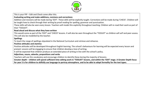

This is your PiP – Edit and Check come after this.

# **Evaluating writing and make additions, revisions and corrections**

Addition and revisions will be made during 'EDIT'. These skills will be explicitly taught. Corrections will be made during 'CHECK'. Children will be taught how to check through their writing by proof reading for spelling, grammar and punctuation.

These skills will also be seen every lesson. Teachers will model this explicitly throughout teaching. Children will re-read their work as part of their **'**TOOLKIT'.

# **Read aloud and discuss what they have written**

This would come as part of the 'EDIT' and 'CHECK' lessons. It will also be seen throughout the 'TOOLKIT' as children will self and peer-assess. This will also be modelled by the teacher.

# **Spellings**

To teach the range of spellings stipulated in the National Curriculum and retrieve and rehearse.

# **Positive attitudes and stamina**

Positive attitudes will be developed throughout English learning. The school's behaviours for learning will be expected every lesson and praised. Lessons will be engaging to ensure that children develop a love of writing.

It will be expected that children produce an extended piece of writing in line with the school's policy.

## **Adjectives, nouns, adverbs, prepositions and verbs**

Teachers will use this vocabulary and encourage children to identify these during the majority of lessons.

**Greater depth – children will spend sufficient time editing work in 'TOOLKIT' lessons, and within the 'EDIT' stage. A Greater Depth focus for year 5 is for children to skilfully use language to portray atmosphere, and to be able to adapt formality for the text types.**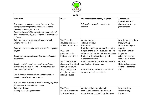

| Year <sub>6</sub>                                          |                      |                                            |                                |
|------------------------------------------------------------|----------------------|--------------------------------------------|--------------------------------|
| Objective                                                  | <b>WALT</b>          | Knowledge/terminology required             | Appropriate<br>journey/context |
| Form upper- and lower-case letters correctly,              |                      | Follow the vocabulary used in the          | <b>Handwriting lessons</b>     |
| using correct diagonal and horizontal stokes,              |                      | scheme                                     | from scheme                    |
| deciding when to join letters                              |                      |                                            |                                |
| Increase the legibility, consistency and quality of        |                      |                                            |                                |
| their handwriting by following the Martin Harvey<br>Scheme |                      |                                            |                                |
| Relative clauses beginning with who, which,                | <b>WALT</b> relative | What a clause is                           | Descriptive narratives         |
| where, whose, that                                         | clauses precisely to | Relative pronoun                           | <b>Story writing</b>           |
|                                                            | add detail to a noun | Parenthesis                                | Non-chronological              |
| Relative clauses can be used to describe subject or        |                      | That the relative pronoun refers to the    | reports                        |
| object.                                                    | <b>WALT</b> use      | subject of the main clause, and so acts    | <b>Explanation texts</b>       |
|                                                            | punctuation to       | as the subject within this relative clause | Biography                      |
| Teach commas, brackets and dashes to indicate              | indicate parenthesis | That a relative clause is a type of        | Adventure stories              |
| parenthesis                                                |                      | subordinate clause                         | Stories from other             |
|                                                            | WALT use relative    | That a non-restrictive relative clause is  | cultures                       |
| Teach restrictive and non-restrictive relative             | clauses with omitted | punctuated with commas                     | <b>Historical narratives</b>   |
| clauses and discuss the use of punctuation for             | relative pronouns    |                                            | Myths and legends              |
| additional information                                     | WALT edit to add     | That brackets, dashes or commas can        | <b>EDIT</b>                    |
|                                                            | description using    | be used to mark parenthesis                |                                |
| Teach the use of brackets to add information               | relative clauses     |                                            |                                |
| which omits the relative pronoun                           |                      |                                            |                                |
| NB. The relative pronoun 'that' is not appropriate         |                      |                                            |                                |
| for non-restrictive relative clauses                       |                      |                                            |                                |
| Cohesive devices                                           | <b>WALT</b> use      | What a conjunctive adverb it               | Formal writing                 |
| Linking ideas using adverbials                             | conjunctive adverbs  | That conjunctive adverbs are NOT           | Letter writing                 |
|                                                            | to link sentences    | subordinating conjunctions; however,       | Recounts                       |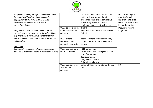

| Deep knowledge of a range of adverbials should<br>be taught within different contexts and as<br>appropriate to the text. This will include<br>adverbials to indicate time as well as |                                                              | there are some words that function as<br>both e.g. however and therefore.<br>The varied functions of conjunctive<br>adverbs e.g. cause and effect, | Non-chronological<br>reports (formal)<br><b>Explanation texts to</b><br>show cause and effect |
|--------------------------------------------------------------------------------------------------------------------------------------------------------------------------------------|--------------------------------------------------------------|----------------------------------------------------------------------------------------------------------------------------------------------------|-----------------------------------------------------------------------------------------------|
| prepositional phrases.                                                                                                                                                               | WALT to use a range                                          | additional points, contrasting ideas<br>TRaMP                                                                                                      | Persuasive writing<br>Discursive writing                                                      |
| Conjunctive adverbs need to be punctuated<br>accurately. A semi colon can be introduced here<br>e.g. There are many positive elements to this                                        | of adverbials to aid<br>cohesion                             | Adverbial word, phrases and clauses<br>Cohesion                                                                                                    | Biography                                                                                     |
| piece; however, there are also some matters for<br>deliberation.<br>Challenge                                                                                                        | <b>WALT</b> extend<br>sentences using<br>conjunctive adverbs | Teach to extend sentences by using<br>conjunctive adverbs following semi<br>colons.                                                                |                                                                                               |
| Cohesive devices could include foreshadowing<br>and use of alternative nouns in descriptive writing                                                                                  | WALT use a range of<br>cohesive devices                      | PEEL paragraphs<br>Introduction with linking conclusion<br>Use of pronouns<br>Topic sentences<br>Conjunctive adverbs<br>Subordinate clauses        |                                                                                               |
|                                                                                                                                                                                      | WALT edit to ensure<br>that our work is<br>cohesive          | Select a SC as appropriate for the text<br>type                                                                                                    | <b>EDIT</b>                                                                                   |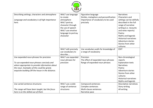

| Describing settings, characters and atmosphere   | WALT use language   | Figurative language                    | Narratives                   |
|--------------------------------------------------|---------------------|----------------------------------------|------------------------------|
|                                                  | to create           | Similes, metaphors and personification | Characters and               |
| Language and vocabulary is of high importance    | atmosphere          | Importance of vocabulary to be used    | settings can be skilfully    |
| here.                                            | <b>WALT</b> portray | precisely                              | described in the full        |
|                                                  | character through   |                                        | range of narrative           |
|                                                  | the use of speech   |                                        | writing (i.e. recounts       |
|                                                  | WALT use emotive    |                                        | and news reports)            |
|                                                  | language to portray |                                        | Poetry                       |
|                                                  | character           |                                        | Myths and legends            |
|                                                  |                     |                                        | <b>Historical narratives</b> |
|                                                  |                     |                                        | Adventure stories            |
|                                                  |                     |                                        | Stories from other           |
|                                                  |                     |                                        | cultures                     |
|                                                  | WALT edit precisely | Use vocabulary walls for knowledge of  | <b>EDIT</b>                  |
|                                                  | use vocabulary to   | a range of vocabulary                  |                              |
|                                                  | describe            |                                        |                              |
| Use expanded noun phrases for precision          | WALT use expanded   | Precision                              | Non-chronological            |
|                                                  | noun phrases for    | The effect of expanded noun phrases    | reports                      |
| To use expanded noun phrases concisely and       | precision           | Range of expanded noun phrases         | <b>Explanation texts</b>     |
| where appropriate to provide information about   |                     |                                        | <b>Narratives</b>            |
| the noun. Examples of this could be grand,       |                     |                                        | Poetry                       |
| exquisite building OR the house in the distance. |                     |                                        | Adventure stories            |
|                                                  |                     |                                        | Stories from other           |
|                                                  |                     |                                        | cultures                     |
|                                                  |                     |                                        | <b>Historical narratives</b> |
|                                                  |                     |                                        | Myths and legends            |
| Use varied sentence structures                   | WALT use a wide     | Compound sentences                     | Descriptive narratives       |
|                                                  | range of sentence   | Complex sentences                      | <b>Story writing</b>         |
| The range will have been taught, but the focus   | structures          | Multi-clause sentences                 | All writing                  |
| here is on the skilled use of them               |                     | Narrative pace                         |                              |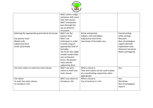

| Selecting the appropriate grammatical structures<br>Use passive voice<br><b>Modal verbs</b><br>Subjunctive form<br>Levels of formality | WALT write a range<br>sentences with more<br>than two clauses<br><b>WALT</b> manipulate<br>pace through the<br>use of sentence<br>structures<br>WALT use the<br>passive voice<br><b>WALT</b> use<br>techniques in order<br>to write using an<br>appropriate level of<br>formality<br>The SC for this might<br>include modal verbs,<br>non-contracted<br>forms, the passive<br>voice and the<br>subjunctive form | Active and passive<br>Subject, verb and object<br>Subjunctive verb forms<br>How levels of formality vary       | Formal writing<br>Letter writing<br>Recounts<br>Non-chronological<br>reports (formal)<br><b>Explanation texts</b><br><b>Historical narratives</b><br>Myths and legends |
|----------------------------------------------------------------------------------------------------------------------------------------|-----------------------------------------------------------------------------------------------------------------------------------------------------------------------------------------------------------------------------------------------------------------------------------------------------------------------------------------------------------------------------------------------------------------|----------------------------------------------------------------------------------------------------------------|------------------------------------------------------------------------------------------------------------------------------------------------------------------------|
| Use semi-colons to mark two main clauses                                                                                               | WALT use semi-<br>colons to mark two<br>main clauses                                                                                                                                                                                                                                                                                                                                                            | What a clause is<br>That semi-colons can be used in place<br>of a coordinating conjunction when<br>appropriate | Any                                                                                                                                                                    |
| Use colons<br>To mark two main clauses<br>To introduce a list                                                                          | WALT use colons to<br>introduce a list                                                                                                                                                                                                                                                                                                                                                                          | What a clause is<br>Use of commas in a list                                                                    | Any<br>Narratives<br>Non-chronological<br>reports                                                                                                                      |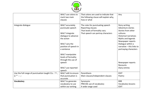

|                                                                    | WALT use colons to<br>mark two main<br>clauses                                                                                                                   | That colons are used to indicate that<br>the following clause will explain why,<br>how or what                               | Any                                                                                                                                                                                                                              |
|--------------------------------------------------------------------|------------------------------------------------------------------------------------------------------------------------------------------------------------------|------------------------------------------------------------------------------------------------------------------------------|----------------------------------------------------------------------------------------------------------------------------------------------------------------------------------------------------------------------------------|
| Integrate dialogue                                                 | <b>WALT</b> accurately<br>punctuate speech<br><b>WALT</b> integrate<br>dialogue to advance<br>the action<br>WALT vary the<br>position of speech in<br>a sentence | The rules for punctuating speech<br>Reporting clauses<br>That levels of formality vary<br>That speech can portray characters | <b>Story writing</b><br>Adventure stories<br>Stories from other<br>cultures<br><b>Historical narratives</b><br>Myths and legends<br>Newspaper reports<br>Dialogue within a<br>narrative - this links to<br>portraying characters |
|                                                                    | <b>WALT</b> manipulate<br>levels of formality<br>through the use of<br>speech<br>WALT use reported<br>speech                                                     |                                                                                                                              | Newspaper reports<br>Recounts<br>Diary entries                                                                                                                                                                                   |
| Use the full range of punctuation taught CLs. ?!,<br>$()$ "" --; : | WALT edit to ensure<br>that punctuation is<br>accurate                                                                                                           | Parenthesis<br>Main clauses/independent clauses                                                                              | <b>EDIT</b><br>Poetry                                                                                                                                                                                                            |
| <b>Vocabulary</b>                                                  | WALT to generate<br>vocabulary to use<br>within our writing                                                                                                      | Synonyms<br>PRECISE use of vocabulary<br>A wide range used                                                                   | <b>RRR</b><br><b>Vocabulary lessons</b><br><b>EDIT</b>                                                                                                                                                                           |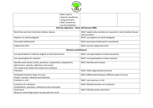

|                                                                     | WALT edit to       |                                                               |  |
|---------------------------------------------------------------------|--------------------|---------------------------------------------------------------|--|
|                                                                     | improve vocabulary |                                                               |  |
|                                                                     | using synonyms     |                                                               |  |
|                                                                     | WALT extend our    |                                                               |  |
|                                                                     | use of vocabulary  |                                                               |  |
| Discrete objectives - these will become RRRs                        |                    |                                                               |  |
| Restrictive and non-restrictive relative clauses                    |                    | WALT explain why commas are required in some relative clauses |  |
|                                                                     |                    | and not others                                                |  |
| Hyphens to avoid ambiguity                                          |                    | WALT use hyphens to avoid ambiguity                           |  |
| Punctuate bullet points                                             |                    | WALT punctuate bullet points consistently                     |  |
| Subjunctive form                                                    |                    | WALT use the subjunctive form                                 |  |
| <b>Retrieve and Rehearse</b>                                        |                    |                                                               |  |
| Use apostrophes to indicate singular or plural possession           |                    | WALT use apostrophes to show possession                       |  |
| Use apostrophes for omission                                        |                    | WALT use apostrophes to show omission                         |  |
| Identify word classes (verbs, pronouns, conjunctions, prepositions, |                    | WALT identify word classes                                    |  |
| determiners, adverbs, adjectives and nouns)                         |                    |                                                               |  |
| This needs to be within the context of a sentence                   |                    |                                                               |  |
| Pronouns                                                            |                    | WALT select appropriate pronouns                              |  |
| Distinguish between types of nouns                                  |                    | WALT differentiate between different types of nouns           |  |
| Proper, common, abstract and collective                             |                    |                                                               |  |
| Commas in a list                                                    |                    | WALT use commas in a list                                     |  |
| Functions of a sentence                                             |                    | WALT identify functions of a sentence                         |  |
| Exclamations, questions, statements and commands                    |                    |                                                               |  |
| Verb forms                                                          |                    | WALT identify varied verb forms                               |  |
| Recap on converting present to past and vice versa                  |                    |                                                               |  |
|                                                                     |                    |                                                               |  |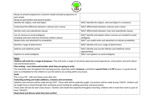

| Recap on present progressive vs present simple and past progressive vs<br>past simple. |                                                                            |
|----------------------------------------------------------------------------------------|----------------------------------------------------------------------------|
| Recap on past perfect and present perfect                                              |                                                                            |
| Identify the subject, verb and object                                                  | WALT identify the subject, verb and object in a sentence                   |
| Understand the difference between a phrase and a clause                                | WALT differentiate between a phrase and a clause                           |
| Identify main and subordinate clauses                                                  | WALT differentiate between main and subordinate clauses                    |
| Use of commas to avoid ambiguity                                                       | WALT identify and explain where commas are needed to avoid                 |
| Including restrictive and non-restrictive relative clauses                             | ambiguity                                                                  |
| Modal verbs and adverbials for probability                                             | WALT use modal verbs and adverbials to indicate probability                |
| Identify a range of determiners                                                        | WALT identify and use a range of determiners                               |
| Definite and indefinite article                                                        | WALT identify and use the definite and indefinite article<br>appropriately |
| Hyphens to avoid ambiguity                                                             | WALT use hyphens to avoid ambiguity                                        |

**Children will write for a range of purposes.** They will write a range of narratives about personal experiences, write poetry and write about real and fictional events.

#### **Plan writing – oral rehearsal/consider what they are going to write**

This would be seen throughout the learning journey, especially within **Immerse,** and before **Launch Point** and **PiP** lessons. It would also be seen as embedded for the children to use this before any writing within any lesson.

#### **Draft**

This is your PiP – Edit and Check come after this.

#### **Evaluating writing and make additions, revisions and corrections**

Addition and revisions will be made during 'EDIT'. These skills will be explicitly taught. Corrections will be made during 'CHECK'. Children will be taught how to check through their writing by proof reading for spelling, grammar and punctuation.

These skills will also be seen every lesson. Teachers will model this explicitly throughout teaching. Children will re-read their work as part of their **'**TOOLKIT'.

## **Read aloud and discuss what they have written**